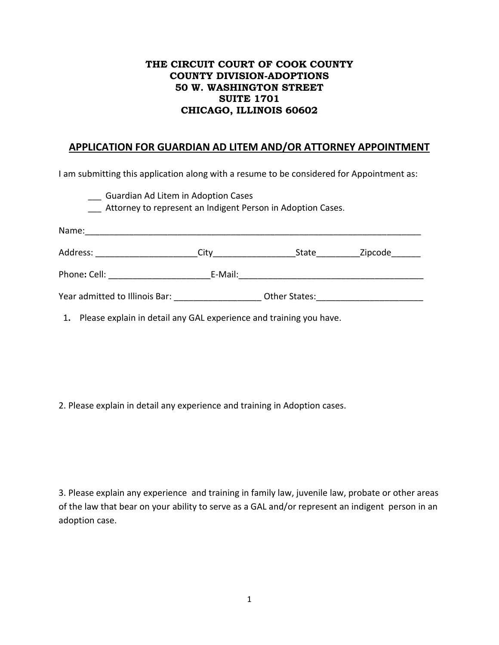## **THE CIRCUIT COURT OF COOK COUNTY COUNTY DIVISION-ADOPTIONS 50 W. WASHINGTON STREET SUITE 1701 CHICAGO, ILLINOIS 60602**

## **APPLICATION FOR GUARDIAN AD LITEM AND/OR ATTORNEY APPOINTMENT**

I am submitting this application along with a resume to be considered for Appointment as:

| Guardian Ad Litem in Adoption Cases |                                                                                  |                                                                          |
|-------------------------------------|----------------------------------------------------------------------------------|--------------------------------------------------------------------------|
|                                     |                                                                                  |                                                                          |
|                                     | State                                                                            | Zipcode                                                                  |
| E-Mail:                             |                                                                                  |                                                                          |
|                                     | Other States:                                                                    |                                                                          |
|                                     | Phone: Cell: ___________________<br>Year admitted to Illinois Bar: Year admitted | Attorney to represent an Indigent Person in Adoption Cases.<br>$City \_$ |

1**.** Please explain in detail any GAL experience and training you have.

2. Please explain in detail any experience and training in Adoption cases.

3. Please explain any experience and training in family law, juvenile law, probate or other areas of the law that bear on your ability to serve as a GAL and/or represent an indigent person in an adoption case.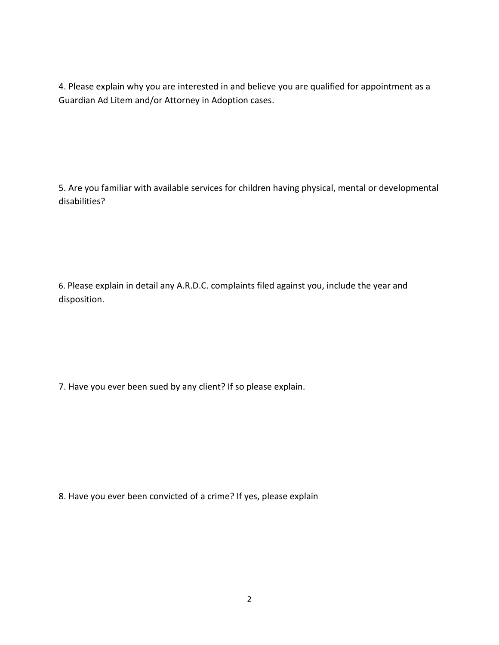4. Please explain why you are interested in and believe you are qualified for appointment as a Guardian Ad Litem and/or Attorney in Adoption cases.

5. Are you familiar with available services for children having physical, mental or developmental disabilities?

6. Please explain in detail any A.R.D.C. complaints filed against you, include the year and disposition.

7. Have you ever been sued by any client? If so please explain.

8. Have you ever been convicted of a crime? If yes, please explain